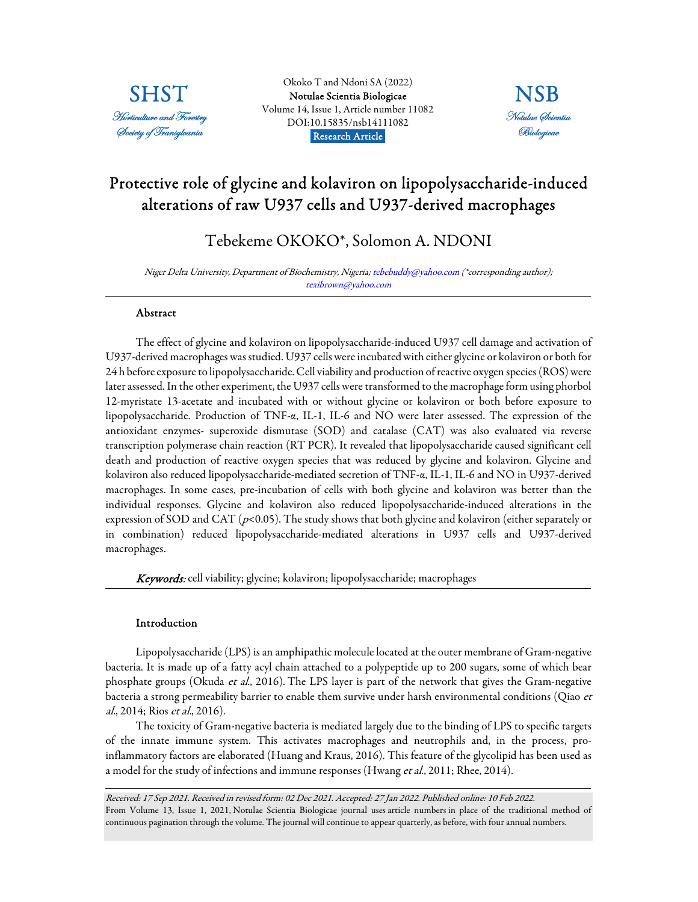

Okoko T and Ndoni SA (2022) [Notulae Scientia Biologicae](https://www.notulaebiologicae.ro/index.php/nsb/index)  Volume 14, Issue 1, Article number 11082 DOI:10.15835/nsb14111082 Research Article.



# Protective role of glycine and kolaviron on lipopolysaccharide-induced alterations of raw U937 cells and U937-derived macrophages

# Tebekeme OKOKO\*, Solomon A. NDONI

Niger Delta University, Department of Biochemistry, Nigeria; tebebuddy@yahoo.com (\*corresponding author); texibrown@yahoo.com

# Abstract

The effect of glycine and kolaviron on lipopolysaccharide-induced U937 cell damage and activation of U937-derived macrophages was studied. U937 cells were incubated with either glycine or kolaviron or both for 24 h before exposure to lipopolysaccharide. Cell viability and production of reactive oxygen species (ROS) were later assessed. In the other experiment, the U937 cells were transformed to the macrophage form using phorbol 12-myristate 13-acetate and incubated with or without glycine or kolaviron or both before exposure to lipopolysaccharide. Production of TNF-α, IL-1, IL-6 and NO were later assessed. The expression of the antioxidant enzymes- superoxide dismutase (SOD) and catalase (CAT) was also evaluated via reverse transcription polymerase chain reaction (RT PCR). It revealed that lipopolysaccharide caused significant cell death and production of reactive oxygen species that was reduced by glycine and kolaviron. Glycine and kolaviron also reduced lipopolysaccharide-mediated secretion of TNF-α, IL-1, IL-6 and NO in U937-derived macrophages. In some cases, pre-incubation of cells with both glycine and kolaviron was better than the individual responses. Glycine and kolaviron also reduced lipopolysaccharide-induced alterations in the expression of SOD and CAT ( $p$ <0.05). The study shows that both glycine and kolaviron (either separately or in combination) reduced lipopolysaccharide-mediated alterations in U937 cells and U937-derived macrophages.

Keywords: cell viability; glycine; kolaviron; lipopolysaccharide; macrophages

# Introduction

Lipopolysaccharide (LPS) is an amphipathic molecule located at the outer membrane of Gram-negative bacteria. It is made up of a fatty acyl chain attached to a polypeptide up to 200 sugars, some of which bear phosphate groups (Okuda et al., 2016). The LPS layer is part of the network that gives the Gram-negative bacteria a strong permeability barrier to enable them survive under harsh environmental conditions (Qiao et al., 2014; Rios et al., 2016).

The toxicity of Gram-negative bacteria is mediated largely due to the binding of LPS to specific targets of the innate immune system. This activates macrophages and neutrophils and, in the process, proinflammatory factors are elaborated (Huang and Kraus, 2016). This feature of the glycolipid has been used as a model for the study of infections and immune responses (Hwang et al., 2011; Rhee, 2014).

Received: 17 Sep 2021. Received in revised form: 02 Dec 2021. Accepted: 27 Jan 2022. Published online: 10 Feb 2022. From Volume 13, Issue 1, 2021, Notulae Scientia Biologicae journal uses article numbers in place of the traditional method of continuous pagination through the volume. The journal will continue to appear quarterly, as before, with four annual numbers.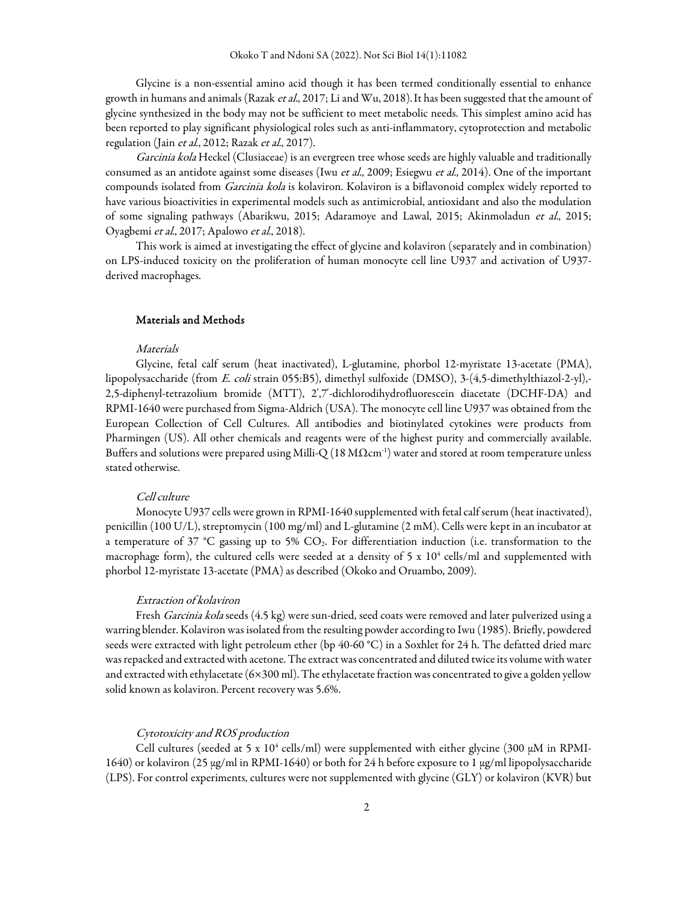Glycine is a non-essential amino acid though it has been termed conditionally essential to enhance growth in humans and animals (Razak et al., 2017; Li and Wu, 2018). It has been suggested that the amount of glycine synthesized in the body may not be sufficient to meet metabolic needs. This simplest amino acid has been reported to play significant physiological roles such as anti-inflammatory, cytoprotection and metabolic regulation (Jain et al., 2012; Razak et al., 2017).

Garcinia kola Heckel (Clusiaceae) is an evergreen tree whose seeds are highly valuable and traditionally consumed as an antidote against some diseases (Iwu et al., 2009; Esiegwu et al., 2014). One of the important compounds isolated from *Garcinia kola* is kolaviron. Kolaviron is a biflavonoid complex widely reported to have various bioactivities in experimental models such as antimicrobial, antioxidant and also the modulation of some signaling pathways (Abarikwu, 2015; Adaramoye and Lawal, 2015; Akinmoladun et al., 2015; Oyagbemi et al., 2017; Apalowo et al., 2018).

This work is aimed at investigating the effect of glycine and kolaviron (separately and in combination) on LPS-induced toxicity on the proliferation of human monocyte cell line U937 and activation of U937 derived macrophages.

# Materials and Methods

### Materials

Glycine, fetal calf serum (heat inactivated), L-glutamine, phorbol 12-myristate 13-acetate (PMA), lipopolysaccharide (from E. coli strain 055:B5), dimethyl sulfoxide (DMSO), 3-(4,5-dimethylthiazol-2-yl),- 2,5-diphenyl-tetrazolium bromide (MTT), 2՛,7՛-dichlorodihydrofluorescein diacetate (DCHF-DA) and RPMI-1640 were purchased from Sigma-Aldrich (USA). The monocyte cell line U937 was obtained from the European Collection of Cell Cultures. All antibodies and biotinylated cytokines were products from Pharmingen (US). All other chemicals and reagents were of the highest purity and commercially available. Buffers and solutions were prepared using Milli-Q (18 M $\Omega$ cm<sup>-1</sup>) water and stored at room temperature unless stated otherwise.

# Cell culture

Monocyte U937 cells were grown in RPMI-1640 supplemented with fetal calf serum (heat inactivated), penicillin (100 U/L), streptomycin (100 mg/ml) and L-glutamine (2 mM). Cells were kept in an incubator at a temperature of 37 °C gassing up to 5% CO2. For differentiation induction (i.e. transformation to the macrophage form), the cultured cells were seeded at a density of 5 x  $10^4$  cells/ml and supplemented with phorbol 12-myristate 13-acetate (PMA) as described (Okoko and Oruambo, 2009).

### Extraction of kolaviron

Fresh Garcinia kola seeds (4.5 kg) were sun-dried, seed coats were removed and later pulverized using a warring blender. Kolaviron was isolated from the resulting powder according to Iwu (1985). Briefly, powdered seeds were extracted with light petroleum ether (bp 40-60 °C) in a Soxhlet for 24 h. The defatted dried marc was repacked and extracted with acetone. The extract was concentrated and diluted twice its volume with water and extracted with ethylacetate (6×300 ml). The ethylacetate fraction was concentrated to give a golden yellow solid known as kolaviron. Percent recovery was 5.6%.

# Cytotoxicity and ROS production

Cell cultures (seeded at 5 x  $10^4$  cells/ml) were supplemented with either glycine (300 µM in RPMI-1640) or kolaviron (25 µg/ml in RPMI-1640) or both for 24 h before exposure to 1 µg/ml lipopolysaccharide (LPS). For control experiments, cultures were not supplemented with glycine (GLY) or kolaviron (KVR) but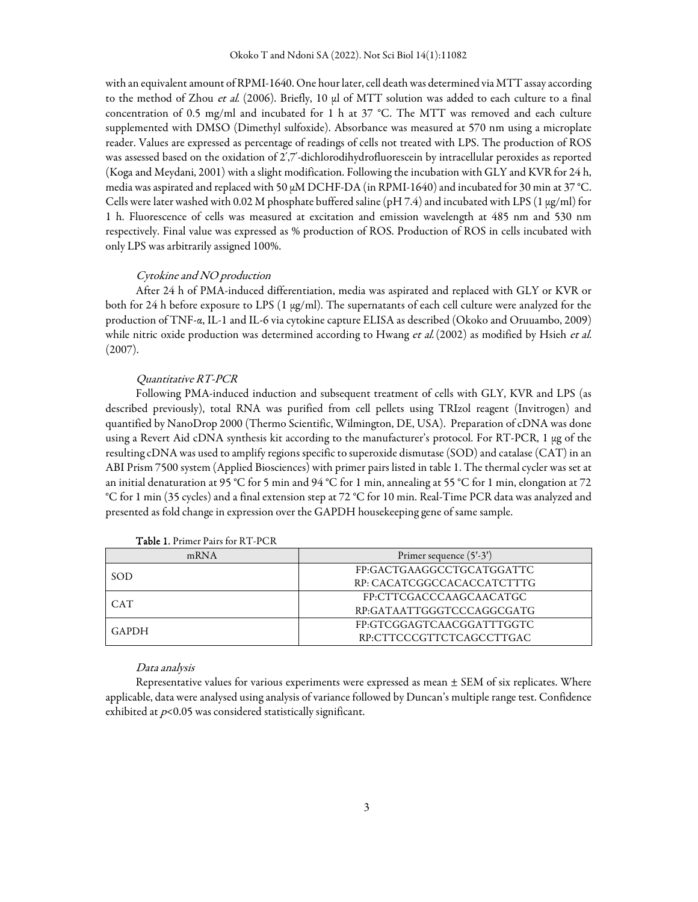with an equivalent amount of RPMI-1640. One hour later, cell death was determined via MTT assay according to the method of Zhou et al. (2006). Briefly, 10 µl of MTT solution was added to each culture to a final concentration of 0.5 mg/ml and incubated for 1 h at 37 °C. The MTT was removed and each culture supplemented with DMSO (Dimethyl sulfoxide). Absorbance was measured at 570 nm using a microplate reader. Values are expressed as percentage of readings of cells not treated with LPS. The production of ROS was assessed based on the oxidation of 2՛,7՛-dichlorodihydrofluorescein by intracellular peroxides as reported (Koga and Meydani, 2001) with a slight modification. Following the incubation with GLY and KVR for 24 h, media was aspirated and replaced with 50 µM DCHF-DA (in RPMI-1640) and incubated for 30 min at 37 °C. Cells were later washed with 0.02 M phosphate buffered saline (pH 7.4) and incubated with LPS (1  $\mu$ g/ml) for 1 h. Fluorescence of cells was measured at excitation and emission wavelength at 485 nm and 530 nm respectively. Final value was expressed as % production of ROS. Production of ROS in cells incubated with only LPS was arbitrarily assigned 100%.

## Cytokine and NO production

After 24 h of PMA-induced differentiation, media was aspirated and replaced with GLY or KVR or both for 24 h before exposure to LPS (1 µg/ml). The supernatants of each cell culture were analyzed for the production of TNF-α, IL-1 and IL-6 via cytokine capture ELISA as described (Okoko and Oruuambo, 2009) while nitric oxide production was determined according to Hwang et al. (2002) as modified by Hsieh et al. (2007).

### Quantitative RT-PCR

Following PMA-induced induction and subsequent treatment of cells with GLY, KVR and LPS (as described previously), total RNA was purified from cell pellets using TRIzol reagent (Invitrogen) and quantified by NanoDrop 2000 (Thermo Scientific, Wilmington, DE, USA). Preparation of cDNA was done using a Revert Aid cDNA synthesis kit according to the manufacturer's protocol. For RT-PCR, 1 µg of the resulting cDNA was used to amplify regions specific to superoxide dismutase (SOD) and catalase (CAT) in an ABI Prism 7500 system (Applied Biosciences) with primer pairs listed in table 1. The thermal cycler was set at an initial denaturation at 95 °C for 5 min and 94 °C for 1 min, annealing at 55 °C for 1 min, elongation at 72 °C for 1 min (35 cycles) and a final extension step at 72 °C for 10 min. Real-Time PCR data was analyzed and presented as fold change in expression over the GAPDH housekeeping gene of same sample.

| mRNA       | Primer sequence $(5'$ -3') |
|------------|----------------------------|
| SOD        | FP:GACTGAAGGCCTGCATGGATTC  |
|            | RP: CACATCGGCCACACCATCTTTG |
| <b>CAT</b> | FP:CTTCGACCCAAGCAACATGC    |
|            | RP:GATAATTGGGTCCCAGGCGATG  |
| GAPDH      | FP:GTCGGAGTCAACGGATTTGGTC  |
|            | RP:CTTCCCGTTCTCAGCCTTGAC   |

Table 1. Primer Pairs for RT-PCR

#### Data analysis

Representative values for various experiments were expressed as mean ± SEM of six replicates. Where applicable, data were analysed using analysis of variance followed by Duncan's multiple range test. Confidence exhibited at  $p<0.05$  was considered statistically significant.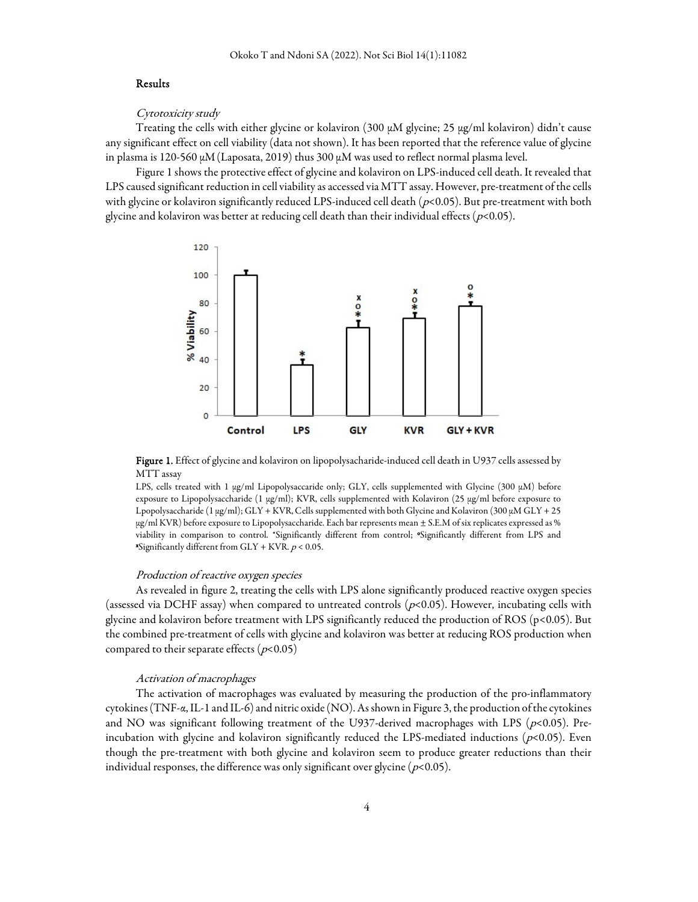### Results

Cytotoxicity study

Treating the cells with either glycine or kolaviron (300  $\mu$ M glycine; 25  $\mu$ g/ml kolaviron) didn't cause any significant effect on cell viability (data not shown). It has been reported that the reference value of glycine in plasma is 120-560  $\mu$ M (Laposata, 2019) thus 300  $\mu$ M was used to reflect normal plasma level.

Figure 1 shows the protective effect of glycine and kolaviron on LPS-induced cell death. It revealed that LPS caused significant reduction in cell viability as accessed via MTT assay. However, pre-treatment of the cells with glycine or kolaviron significantly reduced LPS-induced cell death ( $p<0.05$ ). But pre-treatment with both glycine and kolaviron was better at reducing cell death than their individual effects ( $p$ <0.05).



Figure 1. Effect of glycine and kolaviron on lipopolysacharide-induced cell death in U937 cells assessed by MTT assay

LPS, cells treated with 1  $\mu$ g/ml Lipopolysaccaride only; GLY, cells supplemented with Glycine (300  $\mu$ M) before exposure to Lipopolysaccharide (1 µg/ml); KVR, cells supplemented with Kolaviron (25 µg/ml before exposure to Lpopolysaccharide (1 µg/ml); GLY + KVR, Cells supplemented with both Glycine and Kolaviron (300 µM GLY + 25 µg/ml KVR) before exposure to Lipopolysaccharide. Each bar represents mean ± S.E.M of six replicates expressed as % viability in comparison to control. \*Significantly different from control; \*Significantly different from LPS and  $\overline{\text{``Significantly different from GLY + KVR. p \leq 0.05}}$ .

#### Production of reactive oxygen species

As revealed in figure 2, treating the cells with LPS alone significantly produced reactive oxygen species (assessed via DCHF assay) when compared to untreated controls ( $p<0.05$ ). However, incubating cells with glycine and kolaviron before treatment with LPS significantly reduced the production of ROS (p<0.05). But the combined pre-treatment of cells with glycine and kolaviron was better at reducing ROS production when compared to their separate effects ( $p<0.05$ )

#### Activation of macrophages

The activation of macrophages was evaluated by measuring the production of the pro-inflammatory cytokines (TNF-α, IL-1 and IL-6) and nitric oxide (NO). As shown in Figure 3, the production of the cytokines and NO was significant following treatment of the U937-derived macrophages with LPS ( $p$ <0.05). Preincubation with glycine and kolaviron significantly reduced the LPS-mediated inductions ( $p$ <0.05). Even though the pre-treatment with both glycine and kolaviron seem to produce greater reductions than their individual responses, the difference was only significant over glycine ( $p<0.05$ ).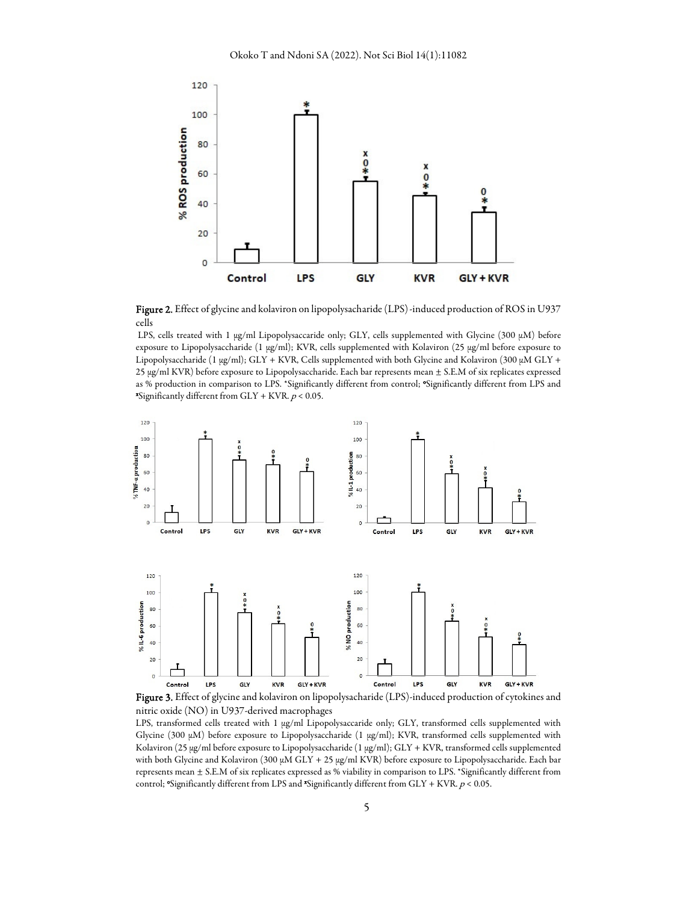

Figure 2. Effect of glycine and kolaviron on lipopolysacharide (LPS)-induced production of ROS in U937 cells

LPS, cells treated with 1 µg/ml Lipopolysaccaride only; GLY, cells supplemented with Glycine (300 µM) before exposure to Lipopolysaccharide (1 µg/ml); KVR, cells supplemented with Kolaviron (25 µg/ml before exposure to Lipopolysaccharide (1  $\mu$ g/ml); GLY + KVR, Cells supplemented with both Glycine and Kolaviron (300  $\mu$ M GLY + 25 µg/ml KVR) before exposure to Lipopolysaccharide. Each bar represents mean ± S.E.M of six replicates expressed as % production in comparison to LPS. \*Significantly different from control; \*Significantly different from LPS and **\***Significantly different from  $GLY + KVR$ .  $p < 0.05$ .



Figure 3. Effect of glycine and kolaviron on lipopolysacharide (LPS)-induced production of cytokines and nitric oxide (NO) in U937-derived macrophages

LPS, transformed cells treated with 1 µg/ml Lipopolysaccaride only; GLY, transformed cells supplemented with Glycine (300 µM) before exposure to Lipopolysaccharide (1 µg/ml); KVR, transformed cells supplemented with Kolaviron (25 µg/ml before exposure to Lipopolysaccharide (1 µg/ml); GLY + KVR, transformed cells supplemented with both Glycine and Kolaviron (300  $\mu$ M GLY + 25  $\mu$ g/ml KVR) before exposure to Lipopolysaccharide. Each bar represents mean ± S.E.M of six replicates expressed as % viability in comparison to LPS. \*Significantly different from control; "Significantly different from LPS and "Significantly different from  $GLY + KVR$ .  $p < 0.05$ .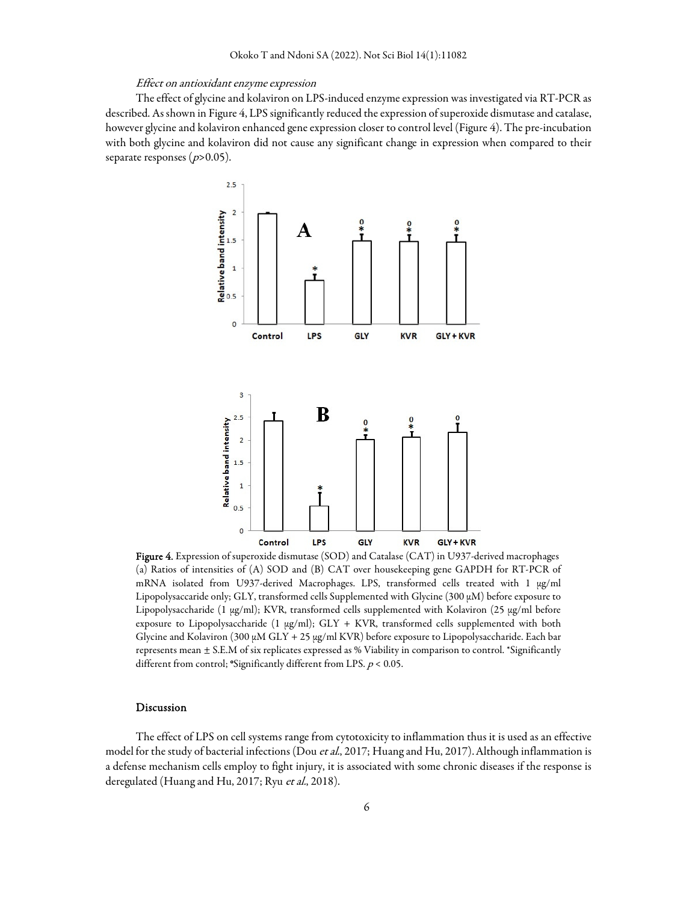#### Effect on antioxidant enzyme expression

The effect of glycine and kolaviron on LPS-induced enzyme expression was investigated via RT-PCR as described. As shown in Figure 4, LPS significantly reduced the expression of superoxide dismutase and catalase, however glycine and kolaviron enhanced gene expression closer to control level (Figure 4). The pre-incubation with both glycine and kolaviron did not cause any significant change in expression when compared to their separate responses ( $p > 0.05$ ).



Figure 4. Expression of superoxide dismutase (SOD) and Catalase (CAT) in U937-derived macrophages (a) Ratios of intensities of (A) SOD and (B) CAT over housekeeping gene GAPDH for RT-PCR of mRNA isolated from U937-derived Macrophages. LPS, transformed cells treated with 1 µg/ml Lipopolysaccaride only; GLY, transformed cells Supplemented with Glycine (300 µM) before exposure to Lipopolysaccharide (1 µg/ml); KVR, transformed cells supplemented with Kolaviron (25 µg/ml before exposure to Lipopolysaccharide (1 µg/ml); GLY + KVR, transformed cells supplemented with both Glycine and Kolaviron (300 µM GLY + 25 µg/ml KVR) before exposure to Lipopolysaccharide. Each bar represents mean ± S.E.M of six replicates expressed as % Viability in comparison to control. \*Significantly different from control; "Significantly different from LPS.  $p < 0.05$ .

# Discussion

The effect of LPS on cell systems range from cytotoxicity to inflammation thus it is used as an effective model for the study of bacterial infections (Dou et al., 2017; Huang and Hu, 2017). Although inflammation is a defense mechanism cells employ to fight injury, it is associated with some chronic diseases if the response is deregulated (Huang and Hu, 2017; Ryu et al., 2018).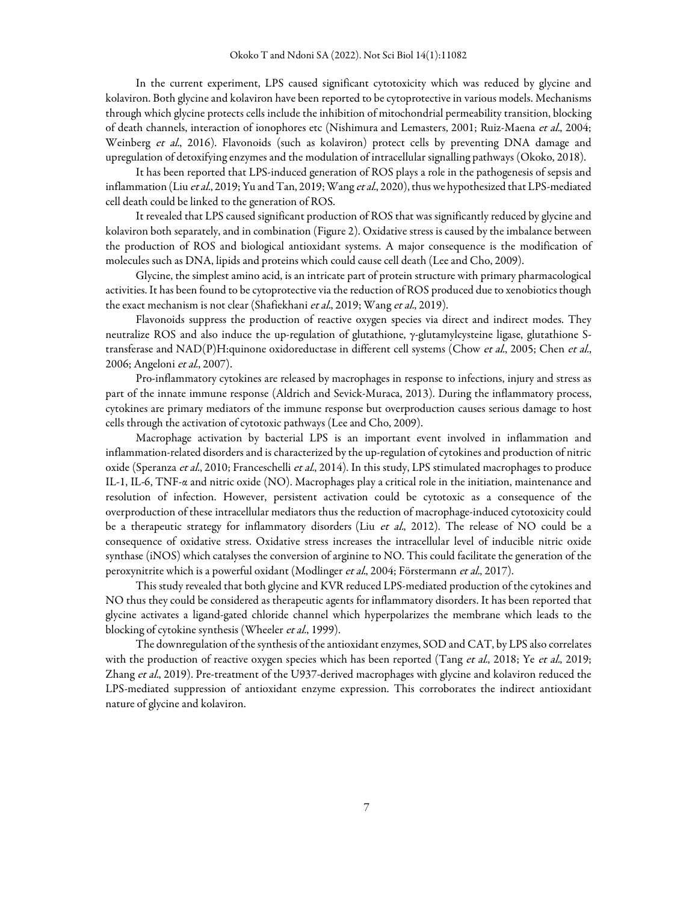In the current experiment, LPS caused significant cytotoxicity which was reduced by glycine and kolaviron. Both glycine and kolaviron have been reported to be cytoprotective in various models. Mechanisms through which glycine protects cells include the inhibition of mitochondrial permeability transition, blocking of death channels, interaction of ionophores etc (Nishimura and Lemasters, 2001; Ruiz-Maena et al., 2004; Weinberg et al., 2016). Flavonoids (such as kolaviron) protect cells by preventing DNA damage and upregulation of detoxifying enzymes and the modulation of intracellular signalling pathways (Okoko, 2018).

It has been reported that LPS-induced generation of ROS plays a role in the pathogenesis of sepsis and inflammation (Liu et al., 2019; Yu and Tan, 2019; Wang et al., 2020), thus we hypothesized that LPS-mediated cell death could be linked to the generation of ROS.

It revealed that LPS caused significant production of ROS that was significantly reduced by glycine and kolaviron both separately, and in combination (Figure 2). Oxidative stress is caused by the imbalance between the production of ROS and biological antioxidant systems. A major consequence is the modification of molecules such as DNA, lipids and proteins which could cause cell death (Lee and Cho, 2009).

Glycine, the simplest amino acid, is an intricate part of protein structure with primary pharmacological activities. It has been found to be cytoprotective via the reduction of ROS produced due to xenobiotics though the exact mechanism is not clear (Shafiekhani et al., 2019; Wang et al., 2019).

Flavonoids suppress the production of reactive oxygen species via direct and indirect modes. They neutralize ROS and also induce the up-regulation of glutathione, γ-glutamylcysteine ligase, glutathione Stransferase and NAD(P)H:quinone oxidoreductase in different cell systems (Chow et al., 2005; Chen et al., 2006; Angeloni et al., 2007).

Pro-inflammatory cytokines are released by macrophages in response to infections, injury and stress as part of the innate immune response (Aldrich and Sevick-Muraca, 2013). During the inflammatory process, cytokines are primary mediators of the immune response but overproduction causes serious damage to host cells through the activation of cytotoxic pathways (Lee and Cho, 2009).

Macrophage activation by bacterial LPS is an important event involved in inflammation and inflammation-related disorders and is characterized by the up-regulation of cytokines and production of nitric oxide (Speranza et al., 2010; Franceschelli et al., 2014). In this study, LPS stimulated macrophages to produce IL-1, IL-6, TNF-α and nitric oxide (NO). Macrophages play a critical role in the initiation, maintenance and resolution of infection. However, persistent activation could be cytotoxic as a consequence of the overproduction of these intracellular mediators thus the reduction of macrophage-induced cytotoxicity could be a therapeutic strategy for inflammatory disorders (Liu et al., 2012). The release of NO could be a consequence of oxidative stress. Oxidative stress increases the intracellular level of inducible nitric oxide synthase (iNOS) which catalyses the conversion of arginine to NO. This could facilitate the generation of the peroxynitrite which is a powerful oxidant (Modlinger et al., 2004; Förstermann et al., 2017).

This study revealed that both glycine and KVR reduced LPS-mediated production of the cytokines and NO thus they could be considered as therapeutic agents for inflammatory disorders. It has been reported that glycine activates a ligand-gated chloride channel which hyperpolarizes the membrane which leads to the blocking of cytokine synthesis (Wheeler et al., 1999).

The downregulation of the synthesis of the antioxidant enzymes, SOD and CAT, by LPS also correlates with the production of reactive oxygen species which has been reported (Tang et al., 2018; Ye et al., 2019; Zhang et al., 2019). Pre-treatment of the U937-derived macrophages with glycine and kolaviron reduced the LPS-mediated suppression of antioxidant enzyme expression. This corroborates the indirect antioxidant nature of glycine and kolaviron.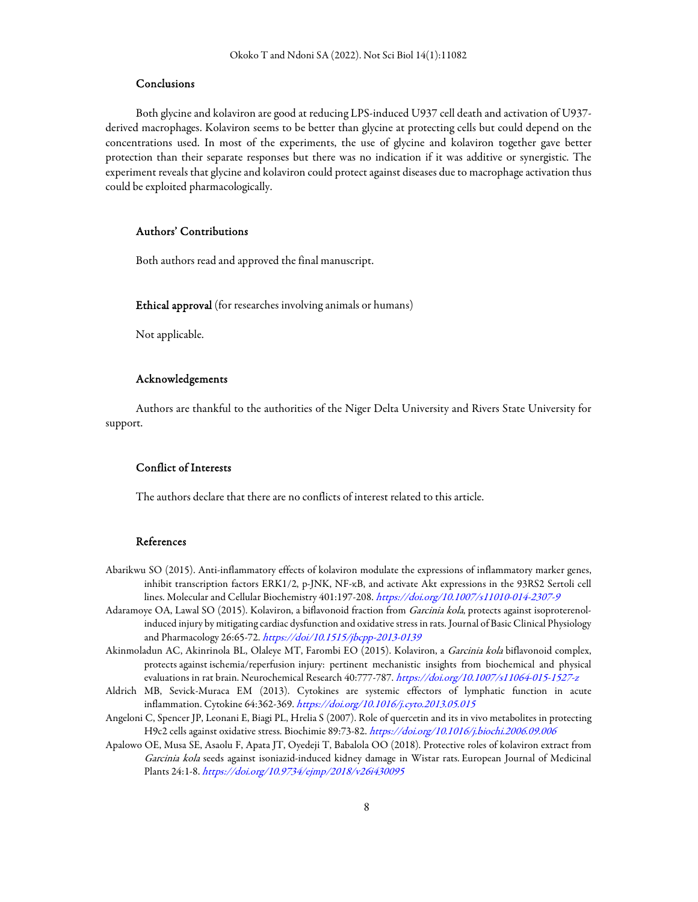# Conclusions

Both glycine and kolaviron are good at reducing LPS-induced U937 cell death and activation of U937 derived macrophages. Kolaviron seems to be better than glycine at protecting cells but could depend on the concentrations used. In most of the experiments, the use of glycine and kolaviron together gave better protection than their separate responses but there was no indication if it was additive or synergistic. The experiment reveals that glycine and kolaviron could protect against diseases due to macrophage activation thus could be exploited pharmacologically.

# Authors' Contributions

Both authors read and approved the final manuscript.

Ethical approval (for researches involving animals or humans)

Not applicable.

# Acknowledgements

Authors are thankful to the authorities of the Niger Delta University and Rivers State University for support.

# Conflict of Interests

The authors declare that there are no conflicts of interest related to this article.

### References

- Abarikwu SO (2015). Anti-inflammatory effects of kolaviron modulate the expressions of inflammatory marker genes, inhibit transcription factors ERK1/2, p-JNK, NF-κB, and activate Akt expressions in the 93RS2 Sertoli cell lines. Molecular and Cellular Biochemistry 401:197-208. https://doi.org/10.1007/s11010-014-2307-9
- Adaramoye OA, Lawal SO (2015). Kolaviron, a biflavonoid fraction from Garcinia kola, protects against isoproterenolinduced injury by mitigating cardiac dysfunction and oxidative stress in rats. Journal of Basic Clinical Physiology and Pharmacology 26:65-72. https://doi/10.1515/jbcpp-2013-0139
- Akinmoladun AC, Akinrinola BL, Olaleye MT, Farombi EO (2015). Kolaviron, a Garcinia kola biflavonoid complex, protects against ischemia/reperfusion injury: pertinent mechanistic insights from biochemical and physical evaluations in rat brain. Neurochemical Research 40:777-787. https://doi.org/10.1007/s11064-015-1527-z
- Aldrich MB, Sevick-Muraca EM (2013). Cytokines are systemic effectors of lymphatic function in acute inflammation. Cytokine 64:362-369. https://doi.org/10.1016/j.cyto.2013.05.015
- Angeloni C, Spencer JP, Leonani E, Biagi PL, Hrelia S (2007). Role of quercetin and its in vivo metabolites in protecting H9c2 cells against oxidative stress. Biochimie 89:73-82. https://doi.org/10.1016/j.biochi.2006.09.006
- Apalowo OE, Musa SE, Asaolu F, Apata JT, Oyedeji T, Babalola OO (2018). Protective roles of kolaviron extract from Garcinia kola seeds against isoniazid-induced kidney damage in Wistar rats. European Journal of Medicinal Plants 24:1-8. https://doi.org/10.9734/ejmp/2018/v26i430095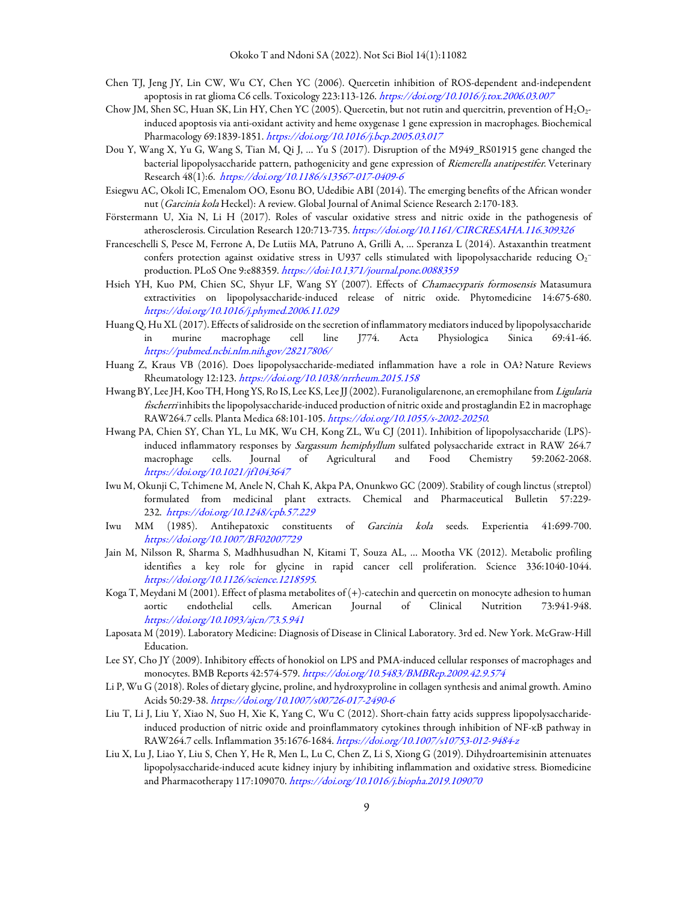- Chen TJ, Jeng JY, Lin CW, Wu CY, Chen YC (2006). Quercetin inhibition of ROS-dependent and-independent apoptosis in rat glioma C6 cells. Toxicology 223:113-126. https://doi.org/10.1016/j.tox.2006.03.007
- Chow JM, Shen SC, Huan SK, Lin HY, Chen YC (2005). Quercetin, but not rutin and quercitrin, prevention of  $H_2O_2$ induced apoptosis via anti-oxidant activity and heme oxygenase 1 gene expression in macrophages. Biochemical Pharmacology 69:1839-1851. https://doi.org/10.1016/j.bcp.2005.03.017
- Dou Y, Wang X, Yu G, Wang S, Tian M, Qi J, … Yu S (2017). Disruption of the M949\_RS01915 gene changed the bacterial lipopolysaccharide pattern, pathogenicity and gene expression of Riemerella anatipestifer. Veterinary Research 48(1):6. https://doi.org/10.1186/s13567-017-0409-6
- Esiegwu AC, Okoli IC, Emenalom OO, Esonu BO, Udedibie ABI (2014). The emerging benefits of the African wonder nut (Garcinia kola Heckel): A review. Global Journal of Animal Science Research 2:170-183.
- Förstermann U, Xia N, Li H (2017). Roles of vascular oxidative stress and nitric oxide in the pathogenesis of atherosclerosis. Circulation Research 120:713-735. https://doi.org/10.1161/CIRCRESAHA.116.309326
- Franceschelli S, Pesce M, Ferrone A, De Lutiis MA, Patruno A, Grilli A, … Speranza L (2014). Astaxanthin treatment confers protection against oxidative stress in U937 cells stimulated with lipopolysaccharide reducing  $\rm O_2^$ production. PLoS One 9:e88359. https://doi:10.1371/journal.pone.0088359
- Hsieh YH, Kuo PM, Chien SC, Shyur LF, Wang SY (2007). Effects of Chamaecyparis formosensis Matasumura extractivities on lipopolysaccharide-induced release of nitric oxide. Phytomedicine 14:675-680. https://doi.org/10.1016/j.phymed.2006.11.029
- Huang Q, Hu XL (2017). Effects of salidroside on the secretion of inflammatory mediators induced by lipopolysaccharide in murine macrophage cell line J774. Acta Physiologica Sinica 69:41-46. https://pubmed.ncbi.nlm.nih.gov/28217806/
- Huang Z, Kraus VB (2016). Does lipopolysaccharide-mediated inflammation have a role in OA? Nature Reviews Rheumatology 12:123. https://doi.org/10.1038/nrrheum.2015.158
- Hwang BY, Lee JH, Koo TH, Hong YS, Ro IS, Lee KS, Lee JJ (2002). Furanoligularenone, an eremophilane from Ligularia fischerri inhibits the lipopolysaccharide-induced production of nitric oxide and prostaglandin E2 in macrophage RAW264.7 cells. Planta Medica 68:101-105. https://doi.org/10.1055/s-2002-20250.
- Hwang PA, Chien SY, Chan YL, Lu MK, Wu CH, Kong ZL, Wu CJ (2011). Inhibition of lipopolysaccharide (LPS) induced inflammatory responses by Sargassum hemiphyllum sulfated polysaccharide extract in RAW 264.7 macrophage cells. Journal of Agricultural and Food Chemistry 59:2062-2068. https://doi.org/10.1021/jf1043647
- Iwu M, Okunji C, Tchimene M, Anele N, Chah K, Akpa PA, Onunkwo GC (2009). Stability of cough linctus (streptol) formulated from medicinal plant extracts. Chemical and Pharmaceutical Bulletin 57:229- 232. https://doi.org/10.1248/cpb.57.229
- Iwu MM (1985). Antihepatoxic constituents of Garcinia kola seeds. Experientia 41:699-700. https://doi.org/10.1007/BF02007729
- Jain M, Nilsson R, Sharma S, Madhhusudhan N, Kitami T, Souza AL, … Mootha VK (2012). Metabolic profiling identifies a key role for glycine in rapid cancer cell proliferation. Science 336:1040-1044. https://doi.org/10.1126/science.1218595.
- Koga T, Meydani M (2001). Effect of plasma metabolites of (+)-catechin and quercetin on monocyte adhesion to human aortic endothelial cells. American Journal of Clinical Nutrition 73:941-948. https://doi.org/10.1093/ajcn/73.5.941
- Laposata M (2019). Laboratory Medicine: Diagnosis of Disease in Clinical Laboratory. 3rd ed. New York. McGraw-Hill Education.
- Lee SY, Cho JY (2009). Inhibitory effects of honokiol on LPS and PMA-induced cellular responses of macrophages and monocytes. BMB Reports 42:574-579. https://doi.org/10.5483/BMBRep.2009.42.9.574
- Li P, Wu G (2018). Roles of dietary glycine, proline, and hydroxyproline in collagen synthesis and animal growth. Amino Acids 50:29-38. https://doi.org/10.1007/s00726-017-2490-6
- Liu T, Li J, Liu Y, Xiao N, Suo H, Xie K, Yang C, Wu C (2012). Short-chain fatty acids suppress lipopolysaccharideinduced production of nitric oxide and proinflammatory cytokines through inhibition of NF-κB pathway in RAW264.7 cells. Inflammation 35:1676-1684. https://doi.org/10.1007/s10753-012-9484-z
- Liu X, Lu J, Liao Y, Liu S, Chen Y, He R, Men L, Lu C, Chen Z, Li S, Xiong G (2019). Dihydroartemisinin attenuates lipopolysaccharide-induced acute kidney injury by inhibiting inflammation and oxidative stress. Biomedicine and Pharmacotherapy 117:109070. https://doi.org/10.1016/j.biopha.2019.109070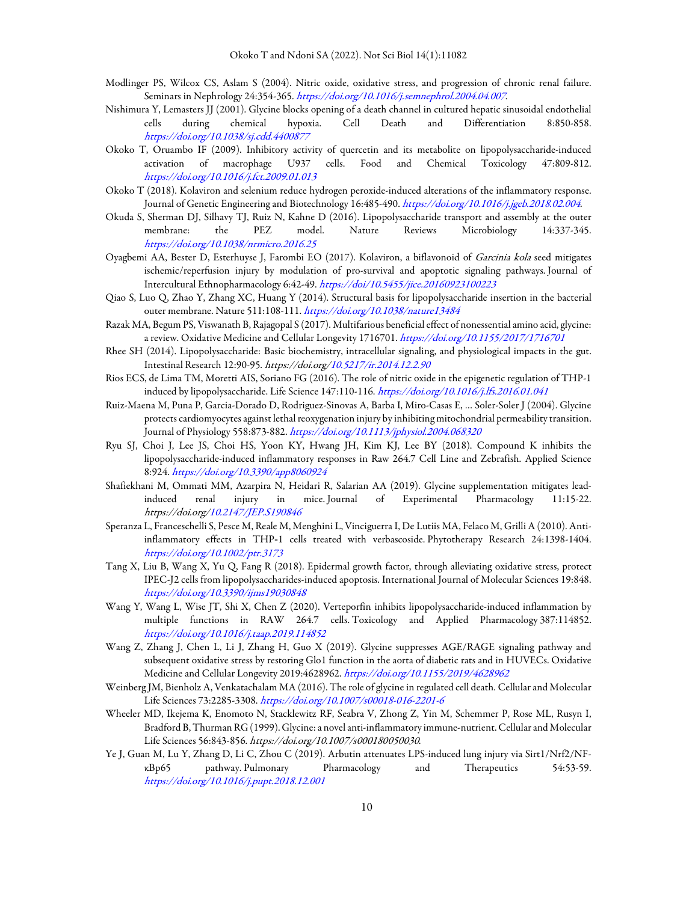- Modlinger PS, Wilcox CS, Aslam S (2004). Nitric oxide, oxidative stress, and progression of chronic renal failure. Seminars in Nephrology 24:354-365. https://doi.org/10.1016/j.semnephrol.2004.04.007.
- Nishimura Y, Lemasters JJ (2001). Glycine blocks opening of a death channel in cultured hepatic sinusoidal endothelial cells during chemical hypoxia. Cell Death and Differentiation 8:850-858. https://doi.org/10.1038/sj.cdd.4400877
- Okoko T, Oruambo IF (2009). Inhibitory activity of quercetin and its metabolite on lipopolysaccharide-induced activation of macrophage U937 cells. Food and Chemical Toxicology 47:809-812. https://doi.org/10.1016/j.fct.2009.01.013
- Okoko T (2018). Kolaviron and selenium reduce hydrogen peroxide-induced alterations of the inflammatory response. Journal of Genetic Engineering and Biotechnology 16:485-490. https://doi.org/10.1016/j.jgeb.2018.02.004.
- Okuda S, Sherman DJ, Silhavy TJ, Ruiz N, Kahne D (2016). Lipopolysaccharide transport and assembly at the outer membrane: the PEZ model. Nature Reviews Microbiology 14:337-345. https://doi.org/10.1038/nrmicro.2016.25
- Oyagbemi AA, Bester D, Esterhuyse J, Farombi EO (2017). Kolaviron, a biflavonoid of Garcinia kola seed mitigates ischemic/reperfusion injury by modulation of pro-survival and apoptotic signaling pathways. Journal of Intercultural Ethnopharmacology 6:42-49. https://doi/10.5455/jice.20160923100223
- Qiao S, Luo Q, Zhao Y, Zhang XC, Huang Y (2014). Structural basis for lipopolysaccharide insertion in the bacterial outer membrane. Nature 511:108-111. https://doi.org/10.1038/nature13484
- Razak MA, Begum PS, Viswanath B, Rajagopal S (2017). Multifarious beneficial effect of nonessential amino acid, glycine: a review. Oxidative Medicine and Cellular Longevity 1716701. https://doi.org/10.1155/2017/1716701
- Rhee SH (2014). Lipopolysaccharide: Basic biochemistry, intracellular signaling, and physiological impacts in the gut. Intestinal Research 12:90-95. https://doi.org/10.5217/ir.2014.12.2.90
- Rios ECS, de Lima TM, Moretti AIS, Soriano FG (2016). The role of nitric oxide in the epigenetic regulation of THP-1 induced by lipopolysaccharide. Life Science 147:110-116. https://doi.org/10.1016/j.lfs.2016.01.041
- Ruiz-Maena M, Puna P, Garcia-Dorado D, Rodriguez-Sinovas A, Barba I, Miro-Casas E, … Soler-Soler J (2004). Glycine protects cardiomyocytes against lethal reoxygenation injury by inhibiting mitochondrial permeability transition. Journal of Physiology 558:873-882. https://doi.org/10.1113/jphysiol.2004.068320
- Ryu SJ, Choi J, Lee JS, Choi HS, Yoon KY, Hwang JH, Kim KJ, Lee BY (2018). Compound K inhibits the lipopolysaccharide-induced inflammatory responses in Raw 264.7 Cell Line and Zebrafish. Applied Science 8:924. https://doi.org/10.3390/app8060924
- Shafiekhani M, Ommati MM, Azarpira N, Heidari R, Salarian AA (2019). Glycine supplementation mitigates leadinduced renal injury in mice. Journal of Experimental Pharmacology 11:15-22. https://doi.org/10.2147/JEP.S190846
- Speranza L, Franceschelli S, Pesce M, Reale M, Menghini L, Vinciguerra I, De Lutiis MA, Felaco M, Grilli A (2010). Antiinflammatory effects in THP‐1 cells treated with verbascoside. Phytotherapy Research 24:1398-1404. https://doi.org/10.1002/ptr.3173
- Tang X, Liu B, Wang X, Yu Q, Fang R (2018). Epidermal growth factor, through alleviating oxidative stress, protect IPEC-J2 cells from lipopolysaccharides-induced apoptosis. International Journal of Molecular Sciences 19:848. https://doi.org/10.3390/ijms19030848
- Wang Y, Wang L, Wise JT, Shi X, Chen Z (2020). Verteporfin inhibits lipopolysaccharide-induced inflammation by multiple functions in RAW 264.7 cells. Toxicology and Applied Pharmacology 387:114852. https://doi.org/10.1016/j.taap.2019.114852
- Wang Z, Zhang J, Chen L, Li J, Zhang H, Guo X (2019). Glycine suppresses AGE/RAGE signaling pathway and subsequent oxidative stress by restoring Glo1 function in the aorta of diabetic rats and in HUVECs. Oxidative Medicine and Cellular Longevity 2019:4628962. https://doi.org/10.1155/2019/4628962
- Weinberg JM, Bienholz A, Venkatachalam MA (2016). The role of glycine in regulated cell death. Cellular and Molecular Life Sciences 73:2285-3308. https://doi.org/10.1007/s00018-016-2201-6
- Wheeler MD, Ikejema K, Enomoto N, Stacklewitz RF, Seabra V, Zhong Z, Yin M, Schemmer P, Rose ML, Rusyn I, Bradford B, Thurman RG (1999). Glycine: a novel anti-inflammatory immune-nutrient. Cellular and Molecular Life Sciences 56:843-856. https://doi.org/10.1007/s000180050030.
- Ye J, Guan M, Lu Y, Zhang D, Li C, Zhou C (2019). Arbutin attenuates LPS-induced lung injury via Sirt1/Nrf2/NFκBp65 pathway. Pulmonary Pharmacology and Therapeutics 54:53-59. https://doi.org/10.1016/j.pupt.2018.12.001